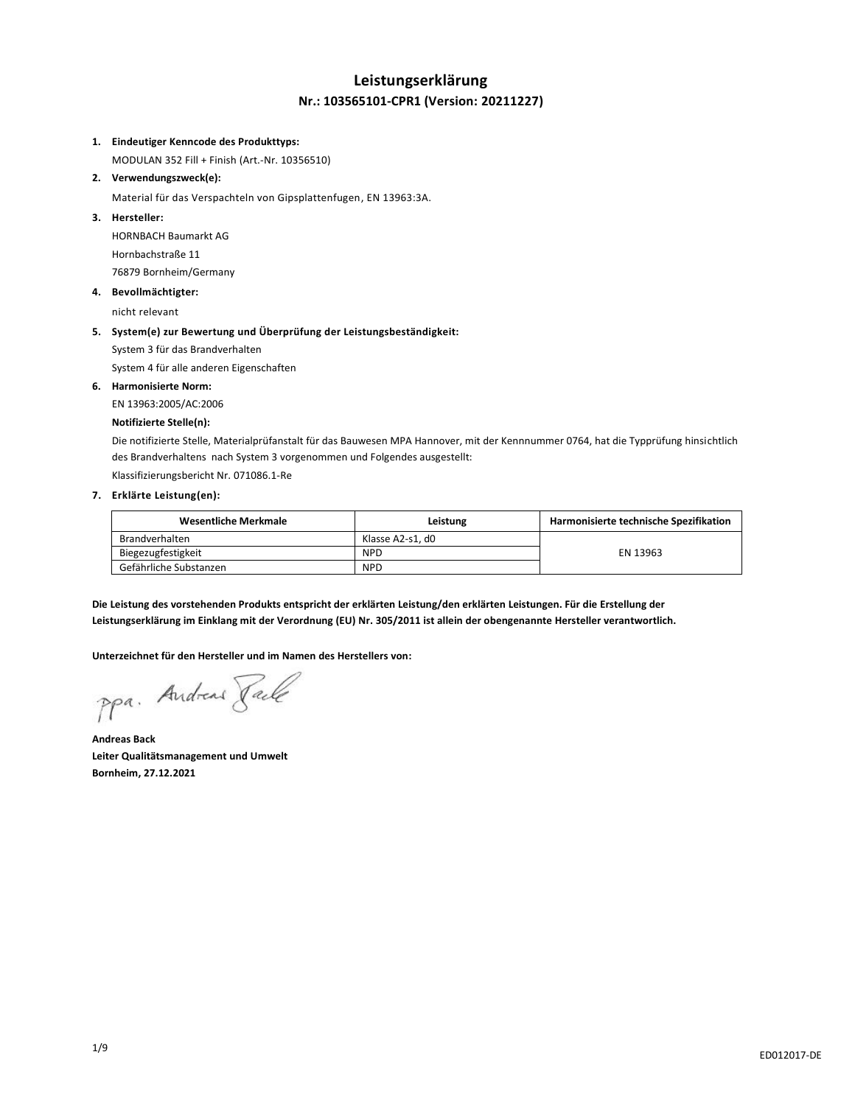## **Leistungserklärung Nr.: 103565101-CPR1 (Version: 20211227)**

### **1. Eindeutiger Kenncode des Produkttyps:**

MODULAN 352 Fill + Finish (Art.-Nr. 10356510)

## **2. Verwendungszweck(e):**

Material für das Verspachteln von Gipsplattenfugen, EN 13963:3A.

## **3. Hersteller:**

HORNBACH Baumarkt AG Hornbachstraße 11 76879 Bornheim/Germany

### **4. Bevollmächtigter:**

nicht relevant

## **5. System(e) zur Bewertung und Überprüfung der Leistungsbeständigkeit:**

System 3 für das Brandverhalten

System 4 für alle anderen Eigenschaften

## **6. Harmonisierte Norm:**

EN 13963:2005/AC:2006

## **Notifizierte Stelle(n):**

Die notifizierte Stelle, Materialprüfanstalt für das Bauwesen MPA Hannover, mit der Kennnummer 0764, hat die Typprüfung hinsichtlich des Brandverhaltens nach System 3 vorgenommen und Folgendes ausgestellt:

Klassifizierungsbericht Nr. 071086.1-Re

## **7. Erklärte Leistung(en):**

| Wesentliche Merkmale   | Leistung         | Harmonisierte technische Spezifikation |
|------------------------|------------------|----------------------------------------|
| Brandverhalten         | Klasse A2-s1. d0 |                                        |
| Biegezugfestigkeit     | <b>NPD</b>       | EN 13963                               |
| Gefährliche Substanzen | <b>NPD</b>       |                                        |

**Die Leistung des vorstehenden Produkts entspricht der erklärten Leistung/den erklärten Leistungen. Für die Erstellung der Leistungserklärung im Einklang mit der Verordnung (EU) Nr. 305/2011 ist allein der obengenannte Hersteller verantwortlich.**

### **Unterzeichnet für den Hersteller und im Namen des Herstellers von:**

ppa. Andreas Face

**Andreas Back Leiter Qualitätsmanagement und Umwelt Bornheim, 27.12.2021**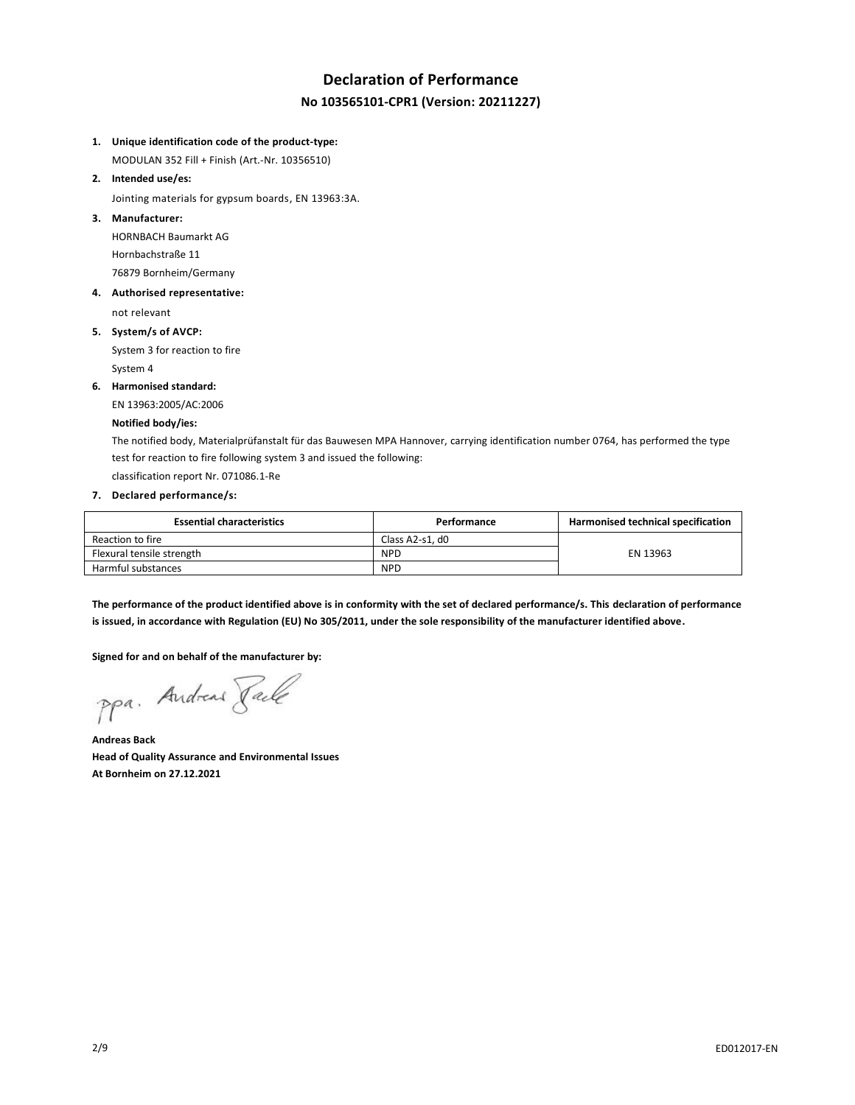# **Declaration of Performance No 103565101-CPR1 (Version: 20211227)**

**1. Unique identification code of the product-type:**

MODULAN 352 Fill + Finish (Art.-Nr. 10356510)

**2. Intended use/es:**

Jointing materials for gypsum boards, EN 13963:3A.

**3. Manufacturer:**

HORNBACH Baumarkt AG Hornbachstraße 11 76879 Bornheim/Germany

**4. Authorised representative:**

not relevant

**5. System/s of AVCP:**

System 3 for reaction to fire System 4

**6. Harmonised standard:**

EN 13963:2005/AC:2006

#### **Notified body/ies:**

The notified body, Materialprüfanstalt für das Bauwesen MPA Hannover, carrying identification number 0764, has performed the type test for reaction to fire following system 3 and issued the following:

classification report Nr. 071086.1-Re

## **7. Declared performance/s:**

| <b>Essential characteristics</b> | Performance     | Harmonised technical specification |
|----------------------------------|-----------------|------------------------------------|
| Reaction to fire                 | Class A2-s1. d0 |                                    |
| Flexural tensile strength        | <b>NPD</b>      | EN 13963                           |
| Harmful substances               | <b>NPD</b>      |                                    |

**The performance of the product identified above is in conformity with the set of declared performance/s. This declaration of performance is issued, in accordance with Regulation (EU) No 305/2011, under the sole responsibility of the manufacturer identified above.**

**Signed for and on behalf of the manufacturer by:**

ppa. Andreas Pale

**Andreas Back Head of Quality Assurance and Environmental Issues At Bornheim on 27.12.2021**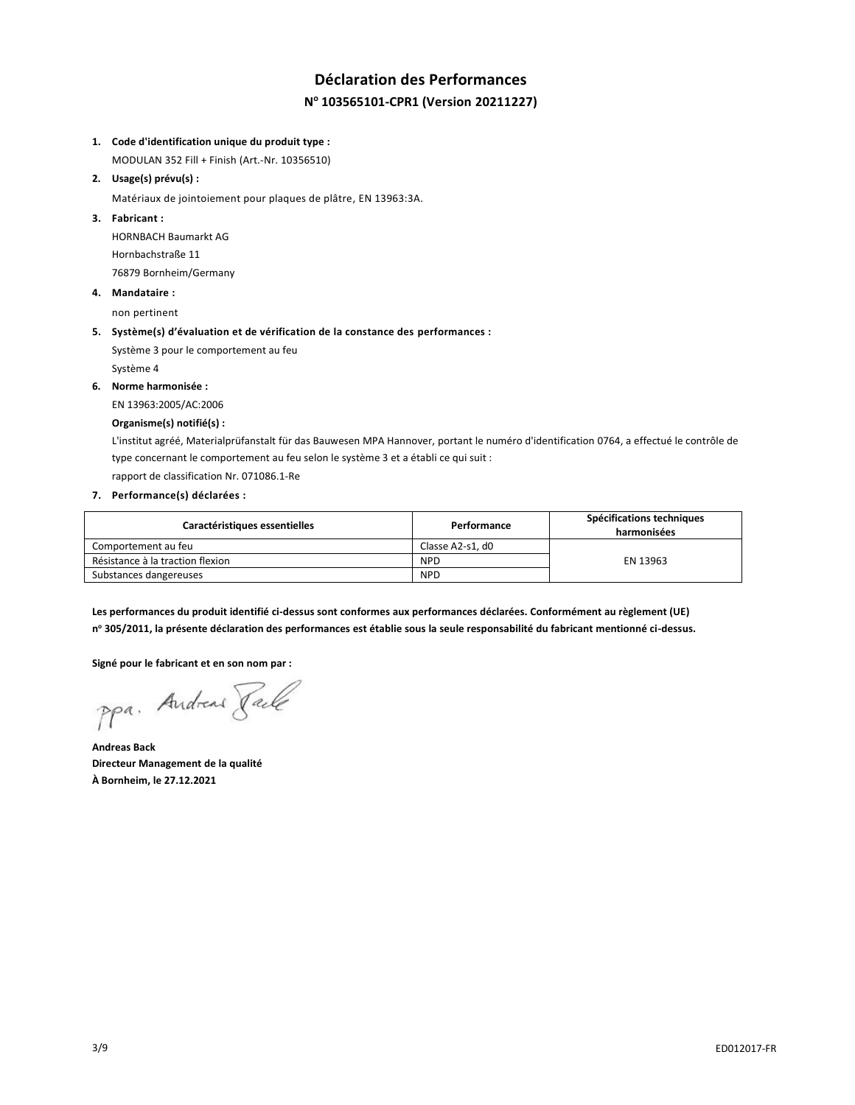# **Déclaration des Performances N <sup>o</sup> 103565101-CPR1 (Version 20211227)**

### **1. Code d'identification unique du produit type :**

MODULAN 352 Fill + Finish (Art.-Nr. 10356510)

**2. Usage(s) prévu(s) :**

Matériaux de jointoiement pour plaques de plâtre, EN 13963:3A.

**3. Fabricant :**

HORNBACH Baumarkt AG Hornbachstraße 11 76879 Bornheim/Germany

**4. Mandataire :**

non pertinent

### **5. Système(s) d'évaluation et de vérification de la constance des performances :**

Système 3 pour le comportement au feu Système 4

**6. Norme harmonisée :**

EN 13963:2005/AC:2006

### **Organisme(s) notifié(s) :**

L'institut agréé, Materialprüfanstalt für das Bauwesen MPA Hannover, portant le numéro d'identification 0764, a effectué le contrôle de type concernant le comportement au feu selon le système 3 et a établi ce qui suit :

rapport de classification Nr. 071086.1-Re

## **7. Performance(s) déclarées :**

| Caractéristiques essentielles    | Performance      | Spécifications techniques<br>harmonisées |
|----------------------------------|------------------|------------------------------------------|
| Comportement au feu              | Classe A2-s1. d0 |                                          |
| Résistance à la traction flexion | <b>NPD</b>       | EN 13963                                 |
| Substances dangereuses           | <b>NPD</b>       |                                          |

**Les performances du produit identifié ci-dessus sont conformes aux performances déclarées. Conformément au règlement (UE) n <sup>o</sup> 305/2011, la présente déclaration des performances est établie sous la seule responsabilité du fabricant mentionné ci-dessus.**

**Signé pour le fabricant et en son nom par :**

ppa. Andreas Pale

**Andreas Back Directeur Management de la qualité À Bornheim, le 27.12.2021**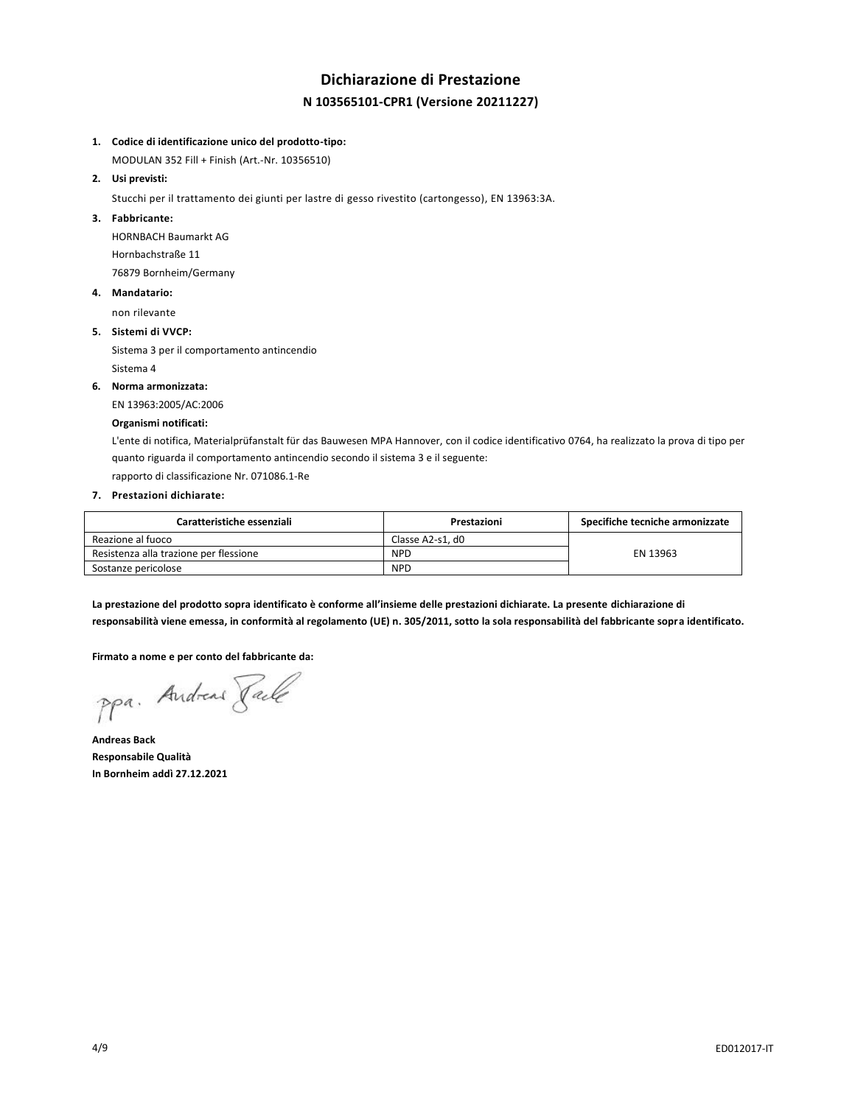## **Dichiarazione di Prestazione N 103565101-CPR1 (Versione 20211227)**

### **1. Codice di identificazione unico del prodotto-tipo:**

MODULAN 352 Fill + Finish (Art.-Nr. 10356510)

**2. Usi previsti:**

Stucchi per il trattamento dei giunti per lastre di gesso rivestito (cartongesso), EN 13963:3A.

## **3. Fabbricante:**

HORNBACH Baumarkt AG Hornbachstraße 11 76879 Bornheim/Germany

**4. Mandatario:**

non rilevante

### **5. Sistemi di VVCP:**

Sistema 3 per il comportamento antincendio Sistema 4

**6. Norma armonizzata:**

EN 13963:2005/AC:2006

### **Organismi notificati:**

L'ente di notifica, Materialprüfanstalt für das Bauwesen MPA Hannover, con il codice identificativo 0764, ha realizzato la prova di tipo per quanto riguarda il comportamento antincendio secondo il sistema 3 e il seguente:

rapporto di classificazione Nr. 071086.1-Re

## **7. Prestazioni dichiarate:**

| Caratteristiche essenziali             | Prestazioni      | Specifiche tecniche armonizzate |
|----------------------------------------|------------------|---------------------------------|
| Reazione al fuoco                      | Classe A2-s1. d0 |                                 |
| Resistenza alla trazione per flessione | <b>NPD</b>       | EN 13963                        |
| Sostanze pericolose                    | <b>NPD</b>       |                                 |

**La prestazione del prodotto sopra identificato è conforme all'insieme delle prestazioni dichiarate. La presente dichiarazione di responsabilità viene emessa, in conformità al regolamento (UE) n. 305/2011, sotto la sola responsabilità del fabbricante sopra identificato.**

**Firmato a nome e per conto del fabbricante da:**

ppa. Andreas Face

**Andreas Back Responsabile Qualità In Bornheim addì 27.12.2021**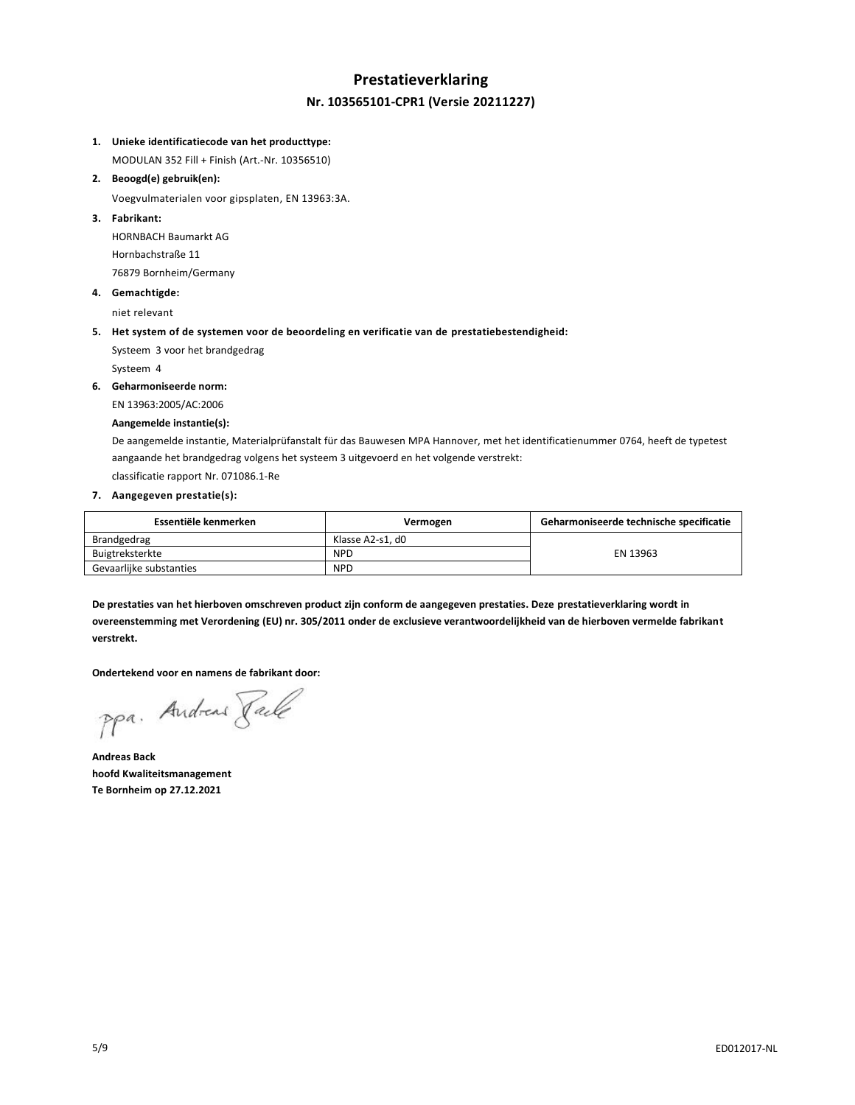## **Prestatieverklaring Nr. 103565101-CPR1 (Versie 20211227)**

## **1. Unieke identificatiecode van het producttype:**

MODULAN 352 Fill + Finish (Art.-Nr. 10356510)

**2. Beoogd(e) gebruik(en):**

Voegvulmaterialen voor gipsplaten, EN 13963:3A.

**3. Fabrikant:**

HORNBACH Baumarkt AG Hornbachstraße 11 76879 Bornheim/Germany

**4. Gemachtigde:**

niet relevant

## **5. Het system of de systemen voor de beoordeling en verificatie van de prestatiebestendigheid:**

Systeem 3 voor het brandgedrag Systeem 4

**6. Geharmoniseerde norm:**

EN 13963:2005/AC:2006

## **Aangemelde instantie(s):**

De aangemelde instantie, Materialprüfanstalt für das Bauwesen MPA Hannover, met het identificatienummer 0764, heeft de typetest aangaande het brandgedrag volgens het systeem 3 uitgevoerd en het volgende verstrekt:

classificatie rapport Nr. 071086.1-Re

## **7. Aangegeven prestatie(s):**

| Essentiële kenmerken    | Vermogen         | Geharmoniseerde technische specificatie |
|-------------------------|------------------|-----------------------------------------|
| Brandgedrag             | Klasse A2-s1. d0 |                                         |
| Buigtreksterkte         | <b>NPD</b>       | EN 13963                                |
| Gevaarlijke substanties | <b>NPD</b>       |                                         |

**De prestaties van het hierboven omschreven product zijn conform de aangegeven prestaties. Deze prestatieverklaring wordt in overeenstemming met Verordening (EU) nr. 305/2011 onder de exclusieve verantwoordelijkheid van de hierboven vermelde fabrikant verstrekt.**

**Ondertekend voor en namens de fabrikant door:**

ppa. Andreas Face

**Andreas Back hoofd Kwaliteitsmanagement Te Bornheim op 27.12.2021**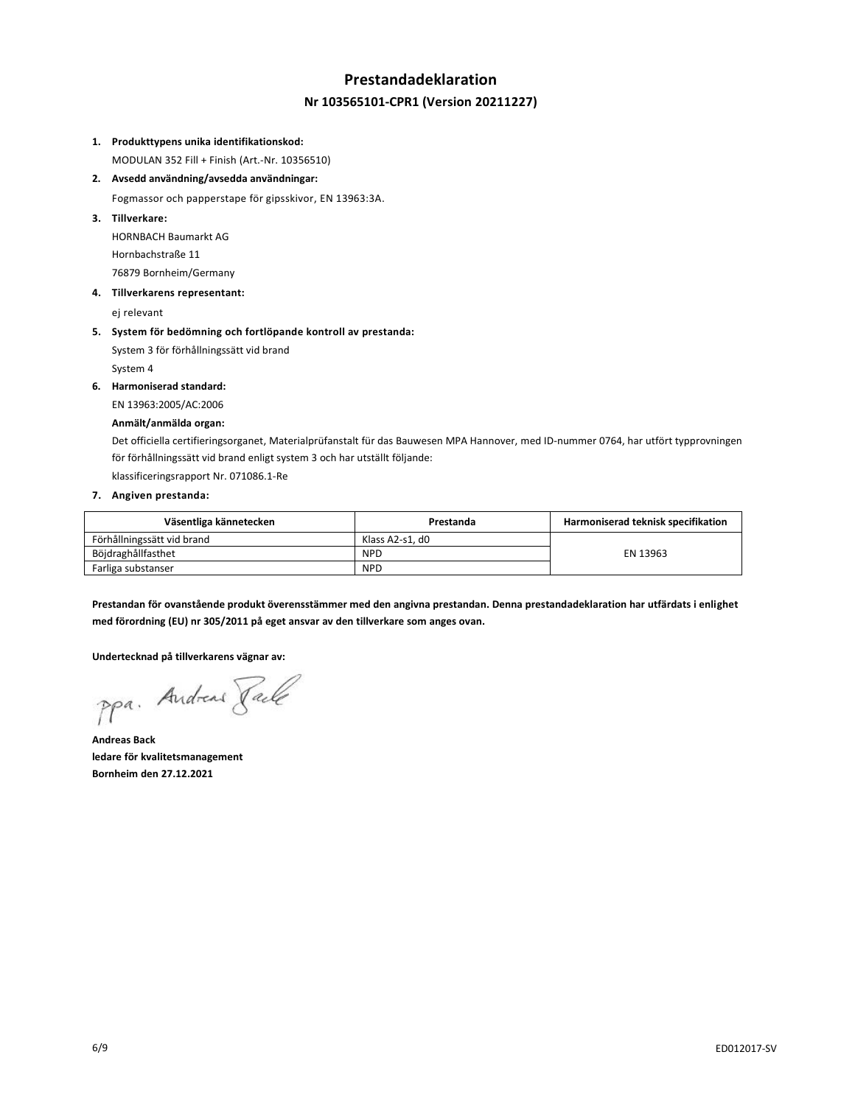# **Prestandadeklaration Nr 103565101-CPR1 (Version 20211227)**

### **1. Produkttypens unika identifikationskod:**

MODULAN 352 Fill + Finish (Art.-Nr. 10356510)

**2. Avsedd användning/avsedda användningar:**

Fogmassor och papperstape för gipsskivor, EN 13963:3A.

**3. Tillverkare:**

HORNBACH Baumarkt AG Hornbachstraße 11 76879 Bornheim/Germany

**4. Tillverkarens representant:**

ej relevant

**5. System för bedömning och fortlöpande kontroll av prestanda:**

System 3 för förhållningssätt vid brand System 4

**6. Harmoniserad standard:**

EN 13963:2005/AC:2006

### **Anmält/anmälda organ:**

Det officiella certifieringsorganet, Materialprüfanstalt für das Bauwesen MPA Hannover, med ID-nummer 0764, har utfört typprovningen för förhållningssätt vid brand enligt system 3 och har utställt följande:

klassificeringsrapport Nr. 071086.1-Re

### **7. Angiven prestanda:**

| Väsentliga kännetecken     | Prestanda       | Harmoniserad teknisk specifikation |
|----------------------------|-----------------|------------------------------------|
| Förhållningssätt vid brand | Klass A2-s1. d0 |                                    |
| Böjdraghållfasthet         | <b>NPD</b>      | EN 13963                           |
| Farliga substanser         | <b>NPD</b>      |                                    |

**Prestandan för ovanstående produkt överensstämmer med den angivna prestandan. Denna prestandadeklaration har utfärdats i enlighet med förordning (EU) nr 305/2011 på eget ansvar av den tillverkare som anges ovan.**

**Undertecknad på tillverkarens vägnar av:**

ppa. Andreas Face

**Andreas Back ledare för kvalitetsmanagement Bornheim den 27.12.2021**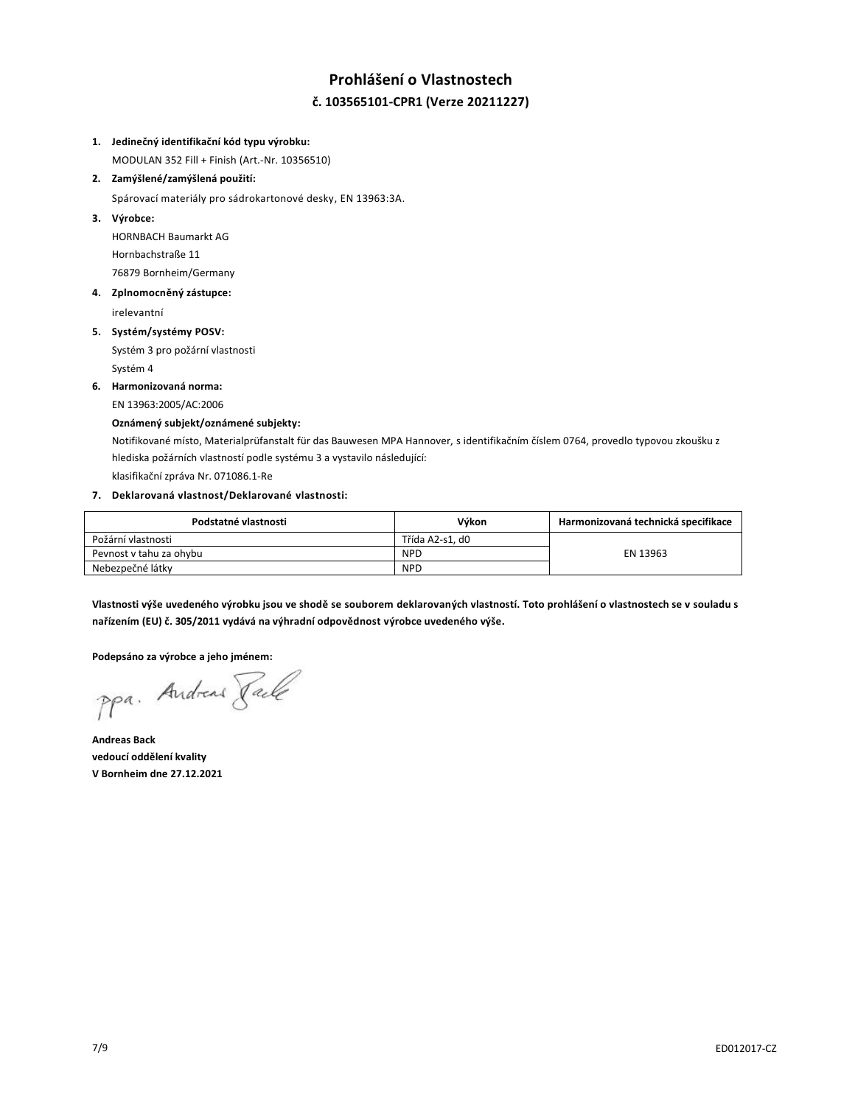# **Prohlášení o Vlastnostech č. 103565101-CPR1 (Verze 20211227)**

### **1. Jedinečný identifikační kód typu výrobku:**

MODULAN 352 Fill + Finish (Art.-Nr. 10356510)

**2. Zamýšlené/zamýšlená použití:**

Spárovací materiály pro sádrokartonové desky, EN 13963:3A.

**3. Výrobce:**

HORNBACH Baumarkt AG Hornbachstraße 11 76879 Bornheim/Germany

**4. Zplnomocněný zástupce:**

irelevantní

**5. Systém/systémy POSV:**

Systém 3 pro požární vlastnosti Systém 4

**6. Harmonizovaná norma:**

EN 13963:2005/AC:2006

## **Oznámený subjekt/oznámené subjekty:**

Notifikované místo, Materialprüfanstalt für das Bauwesen MPA Hannover, s identifikačním číslem 0764, provedlo typovou zkoušku z hlediska požárních vlastností podle systému 3 a vystavilo následující:

klasifikační zpráva Nr. 071086.1-Re

## **7. Deklarovaná vlastnost/Deklarované vlastnosti:**

| Podstatné vlastnosti    | Výkon           | Harmonizovaná technická specifikace |
|-------------------------|-----------------|-------------------------------------|
| Požární vlastnosti      | Třída A2-s1. d0 |                                     |
| Pevnost v tahu za ohybu | <b>NPD</b>      | EN 13963                            |
| Nebezpečné látky        | <b>NPD</b>      |                                     |

**Vlastnosti výše uvedeného výrobku jsou ve shodě se souborem deklarovaných vlastností. Toto prohlášení o vlastnostech se v souladu s nařízením (EU) č. 305/2011 vydává na výhradní odpovědnost výrobce uvedeného výše.**

**Podepsáno za výrobce a jeho jménem:**

ppa. Andreas Face

**Andreas Back vedoucí oddělení kvality V Bornheim dne 27.12.2021**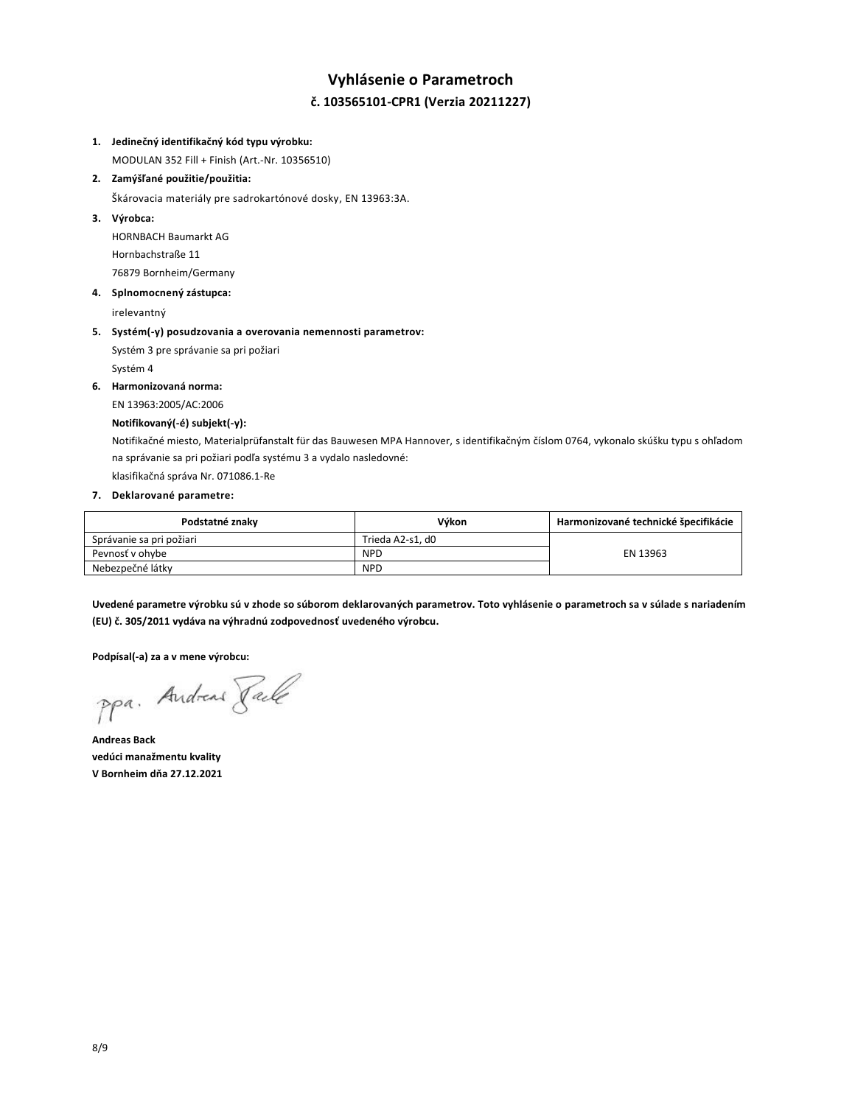# **Vyhlásenie o Parametroch č. 103565101-CPR1 (Verzia 20211227)**

### **1. Jedinečný identifikačný kód typu výrobku:**

MODULAN 352 Fill + Finish (Art.-Nr. 10356510)

**2. Zamýšľané použitie/použitia:**

Škárovacia materiály pre sadrokartónové dosky, EN 13963:3A.

**3. Výrobca:**

HORNBACH Baumarkt AG Hornbachstraße 11 76879 Bornheim/Germany

**4. Splnomocnený zástupca:**

irelevantný

**5. Systém(-y) posudzovania a overovania nemennosti parametrov:**

Systém 3 pre správanie sa pri požiari Systém 4

**6. Harmonizovaná norma:**

EN 13963:2005/AC:2006

### **Notifikovaný(-é) subjekt(-y):**

Notifikačné miesto, Materialprüfanstalt für das Bauwesen MPA Hannover, s identifikačným číslom 0764, vykonalo skúšku typu s ohľadom na správanie sa pri požiari podľa systému 3 a vydalo nasledovné:

klasifikačná správa Nr. 071086.1-Re

#### **7. Deklarované parametre:**

| Podstatné znaky          | Výkon            | Harmonizované technické špecifikácie |
|--------------------------|------------------|--------------------------------------|
| Správanie sa pri požiari | Trieda A2-s1. d0 |                                      |
| Peynosť v ohybe          | <b>NPD</b>       | EN 13963                             |
| Nebezpečné látky         | <b>NPD</b>       |                                      |

**Uvedené parametre výrobku sú v zhode so súborom deklarovaných parametrov. Toto vyhlásenie o parametroch sa v súlade s nariadením (EU) č. 305/2011 vydáva na výhradnú zodpovednosť uvedeného výrobcu.**

**Podpísal(-a) za a v mene výrobcu:**

ppa. Andreas Faile

**Andreas Back vedúci manažmentu kvality V Bornheim dňa 27.12.2021**